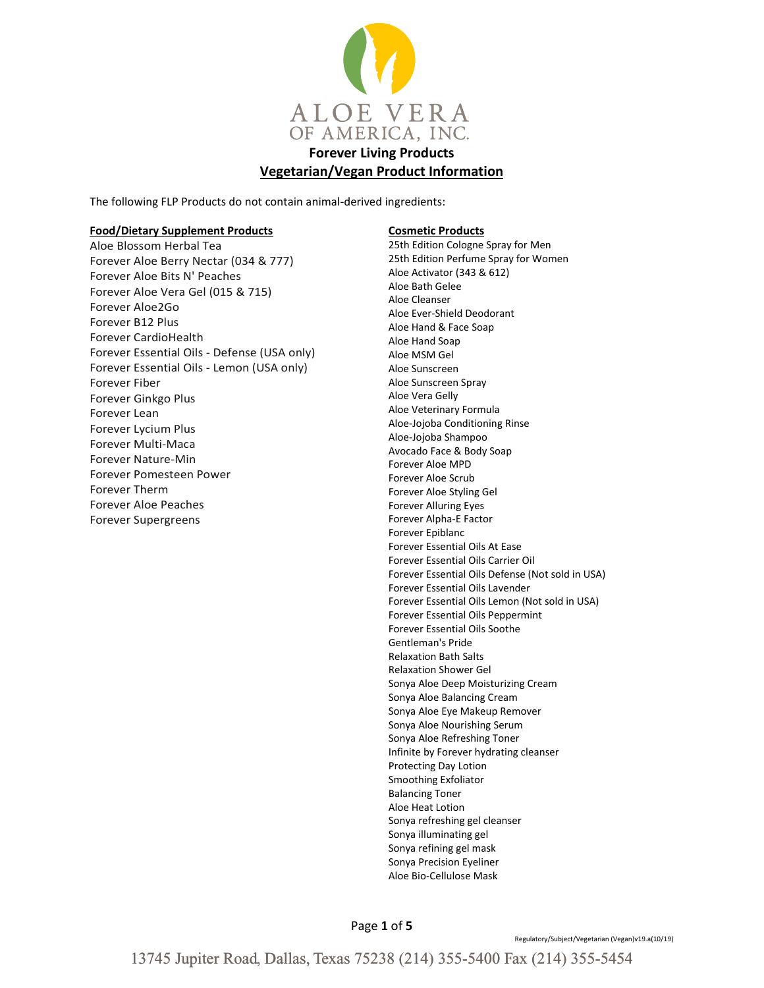

# **Forever Living Products Vegetarian/Vegan Product Information**

The following FLP Products do not contain animal-derived ingredients:

### **Food/Dietary Supplement Products Cosmetic Products**

Aloe Blossom Herbal Tea Forever Aloe Berry Nectar (034 & 777) Forever Aloe Bits N' Peaches Forever Aloe Vera Gel (015 & 715) Forever Aloe2Go Forever B12 Plus Forever CardioHealth Forever Essential Oils - Defense (USA only) Forever Essential Oils - Lemon (USA only) Forever Fiber Forever Ginkgo Plus Forever Lean Forever Lycium Plus Forever Multi-Maca Forever Nature-Min Forever Pomesteen Power Forever Therm Forever Aloe Peaches Forever Supergreens

25th Edition Cologne Spray for Men 25th Edition Perfume Spray for Women Aloe Activator (343 & 612) Aloe Bath Gelee Aloe Cleanser Aloe Ever-Shield Deodorant Aloe Hand & Face Soap Aloe Hand Soap Aloe MSM Gel Aloe Sunscreen Aloe Sunscreen Spray Aloe Vera Gelly Aloe Veterinary Formula Aloe-Jojoba Conditioning Rinse Aloe-Jojoba Shampoo Avocado Face & Body Soap Forever Aloe MPD Forever Aloe Scrub Forever Aloe Styling Gel Forever Alluring Eyes Forever Alpha-E Factor Forever Epiblanc Forever Essential Oils At Ease Forever Essential Oils Carrier Oil Forever Essential Oils Defense (Not sold in USA) Forever Essential Oils Lavender Forever Essential Oils Lemon (Not sold in USA) Forever Essential Oils Peppermint Forever Essential Oils Soothe Gentleman's Pride Relaxation Bath Salts Relaxation Shower Gel Sonya Aloe Deep Moisturizing Cream Sonya Aloe Balancing Cream Sonya Aloe Eye Makeup Remover Sonya Aloe Nourishing Serum Sonya Aloe Refreshing Toner Infinite by Forever hydrating cleanser Protecting Day Lotion Smoothing Exfoliator Balancing Toner Aloe Heat Lotion Sonya refreshing gel cleanser Sonya illuminating gel Sonya refining gel mask Sonya Precision Eyeliner Aloe Bio-Cellulose Mask

Page **1** of **5**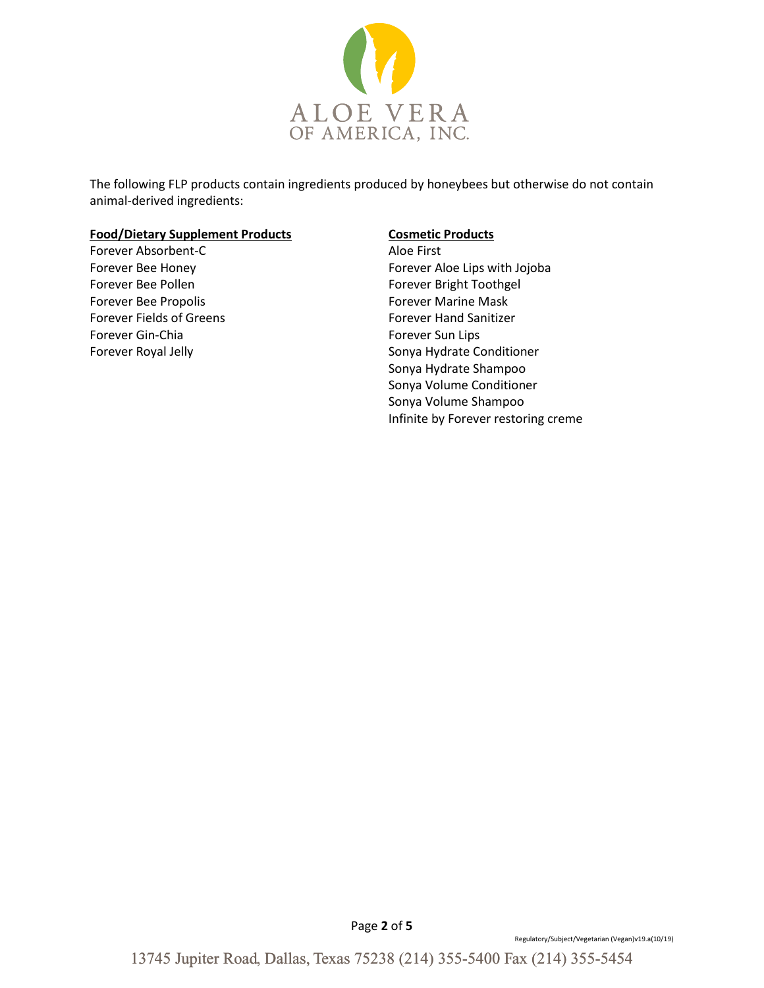

The following FLP products contain ingredients produced by honeybees but otherwise do not contain animal-derived ingredients:

### **Food/Dietary Supplement Products Cosmetic Products**

Forever Absorbent-C Forever Bee Honey Forever Bee Pollen Forever Bee Propolis Forever Fields of Greens Forever Gin-Chia Forever Royal Jelly

Aloe First Forever Aloe Lips with Jojoba Forever Bright Toothgel Forever Marine Mask Forever Hand Sanitizer Forever Sun Lips Sonya Hydrate Conditioner Sonya Hydrate Shampoo Sonya Volume Conditioner Sonya Volume Shampoo Infinite by Forever restoring creme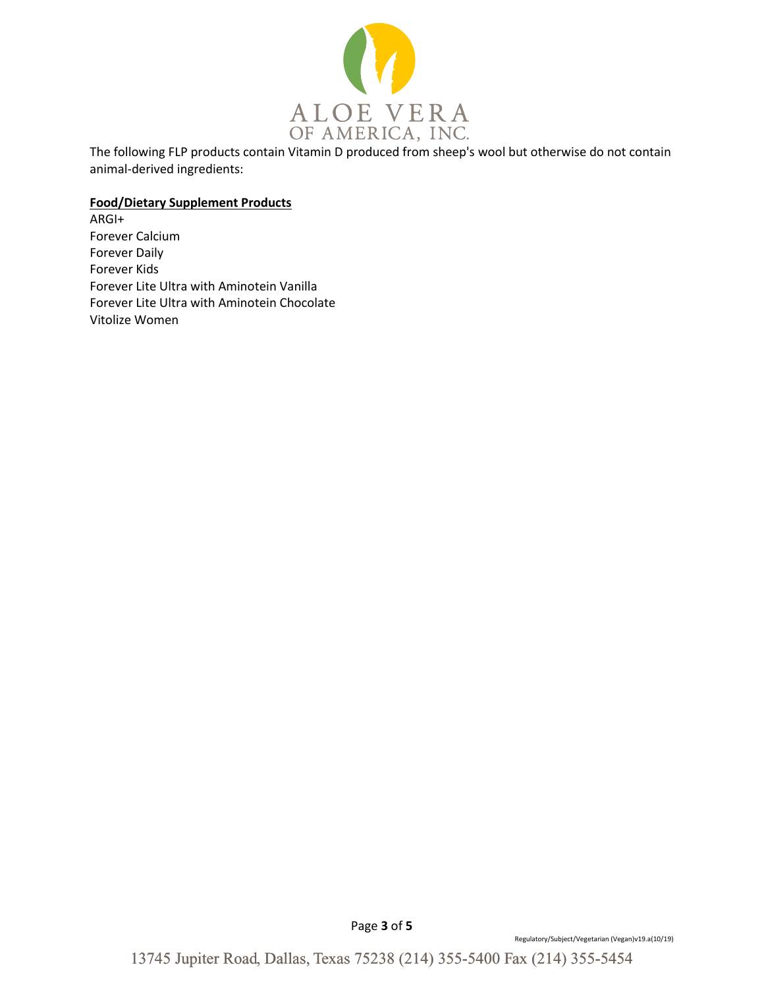

The following FLP products contain Vitamin D produced from sheep's wool but otherwise do not contain animal-derived ingredients:

# **Food/Dietary Supplement Products**

ARGI+ Forever Calcium Forever Daily Forever Kids Forever Lite Ultra with Aminotein Vanilla Forever Lite Ultra with Aminotein Chocolate Vitolize Women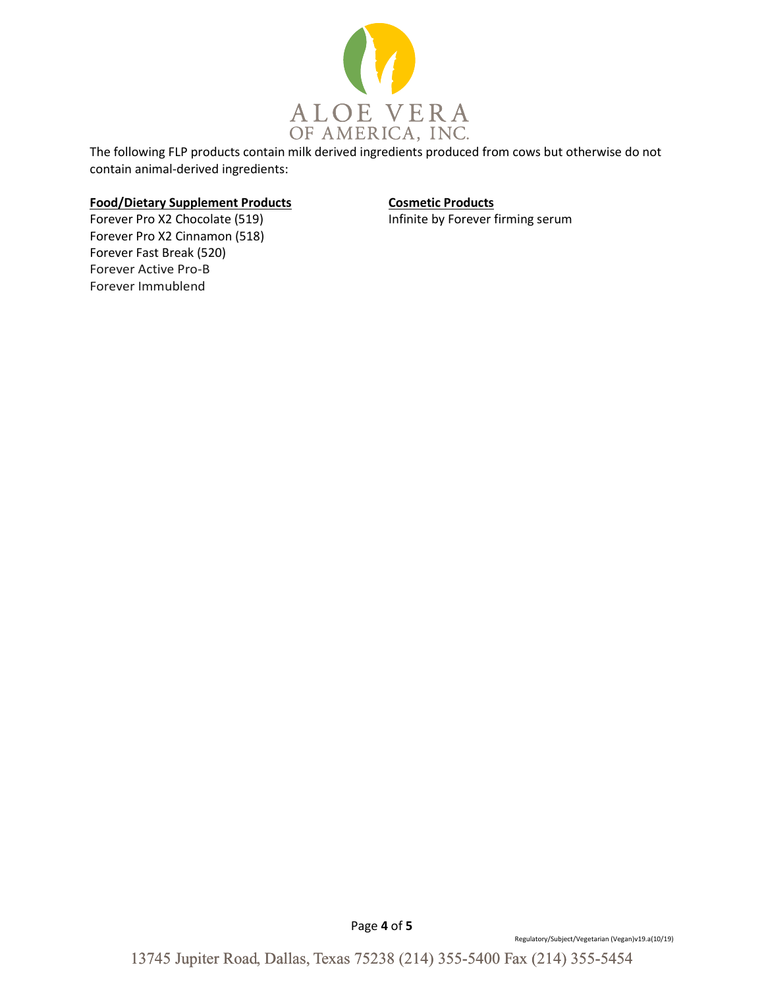

The following FLP products contain milk derived ingredients produced from cows but otherwise do not contain animal-derived ingredients:

## **Food/Dietary Supplement Products Cosmetic Products**

Infinite by Forever firming serum

Forever Pro X2 Chocolate (519) Forever Pro X2 Cinnamon (518) Forever Fast Break (520) Forever Active Pro-B Forever Immublend

Page **4** of **5**

Regulatory/Subject/Vegetarian (Vegan)v19.a(10/19)